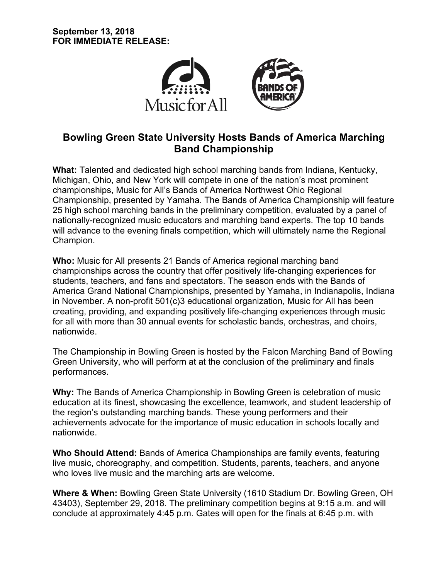

# **Bowling Green State University Hosts Bands of America Marching Band Championship**

**What:** Talented and dedicated high school marching bands from Indiana, Kentucky, Michigan, Ohio, and New York will compete in one of the nation's most prominent championships, Music for All's Bands of America Northwest Ohio Regional Championship, presented by Yamaha. The Bands of America Championship will feature 25 high school marching bands in the preliminary competition, evaluated by a panel of nationally-recognized music educators and marching band experts. The top 10 bands will advance to the evening finals competition, which will ultimately name the Regional Champion.

**Who:** Music for All presents 21 Bands of America regional marching band championships across the country that offer positively life-changing experiences for students, teachers, and fans and spectators. The season ends with the Bands of America Grand National Championships, presented by Yamaha, in Indianapolis, Indiana in November. A non-profit 501(c)3 educational organization, Music for All has been creating, providing, and expanding positively life-changing experiences through music for all with more than 30 annual events for scholastic bands, orchestras, and choirs, nationwide.

The Championship in Bowling Green is hosted by the Falcon Marching Band of Bowling Green University, who will perform at at the conclusion of the preliminary and finals performances.

**Why:** The Bands of America Championship in Bowling Green is celebration of music education at its finest, showcasing the excellence, teamwork, and student leadership of the region's outstanding marching bands. These young performers and their achievements advocate for the importance of music education in schools locally and nationwide.

**Who Should Attend:** Bands of America Championships are family events, featuring live music, choreography, and competition. Students, parents, teachers, and anyone who loves live music and the marching arts are welcome.

**Where & When:** Bowling Green State University (1610 Stadium Dr. Bowling Green, OH 43403), September 29, 2018. The preliminary competition begins at 9:15 a.m. and will conclude at approximately 4:45 p.m. Gates will open for the finals at 6:45 p.m. with